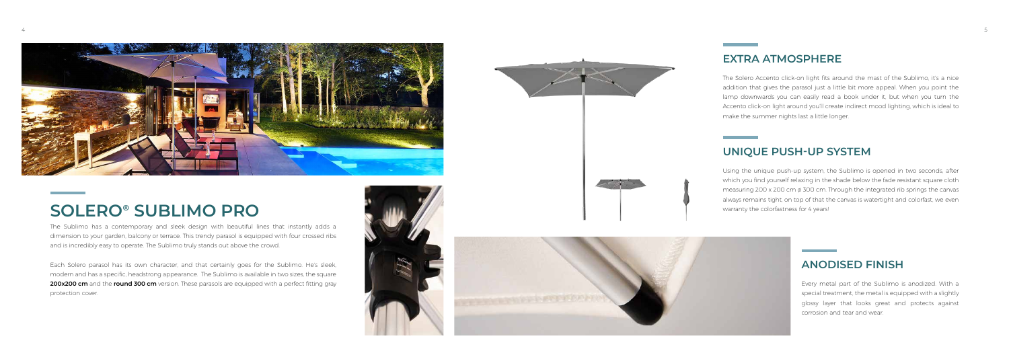

## **SOLERO**® **SUBLIMO PRO**

### **EXTRA ATMOSPHERE**

### **UNIQUE PUSH-UP SYSTEM**

#### **ANODISED FINISH**

Using the unique push-up system, the Sublimo is opened in two seconds, after which you find yourself relaxing in the shade below the fade resistant square cloth measuring 200 x 200 cm  $\phi$  300 cm. Through the integrated rib springs the canvas always remains tight, on top of that the canvas is watertight and colorfast, we even warranty the colorfastness for 4 years!

The Solero Accento click-on light fits around the mast of the Sublimo, it's a nice addition that gives the parasol just a little bit more appeal. When you point the lamp downwards you can easily read a book under it, but when you turn the Accento click-on light around you'll create indirect mood lighting, which is ideal to make the summer nights last a little longer.

> Every metal part of the Sublimo is anodized. With a special treatment, the metal is equipped with a slightly glossy layer that looks great and protects against corrosion and tear and wear.

The Sublimo has a contemporary and sleek design with beautiful lines that instantly adds a dimension to your garden, balcony or terrace. This trendy parasol is equipped with four crossed ribs and is incredibly easy to operate. The Sublimo truly stands out above the crowd.

Each Solero parasol has its own character, and that certainly goes for the Sublimo. He's sleek, modern and has a specific, headstrong appearance. The Sublimo is available in two sizes, the square **200x200 cm** and the **round 300 cm** version. These parasols are equipped with a perfect fitting gray protection cover.